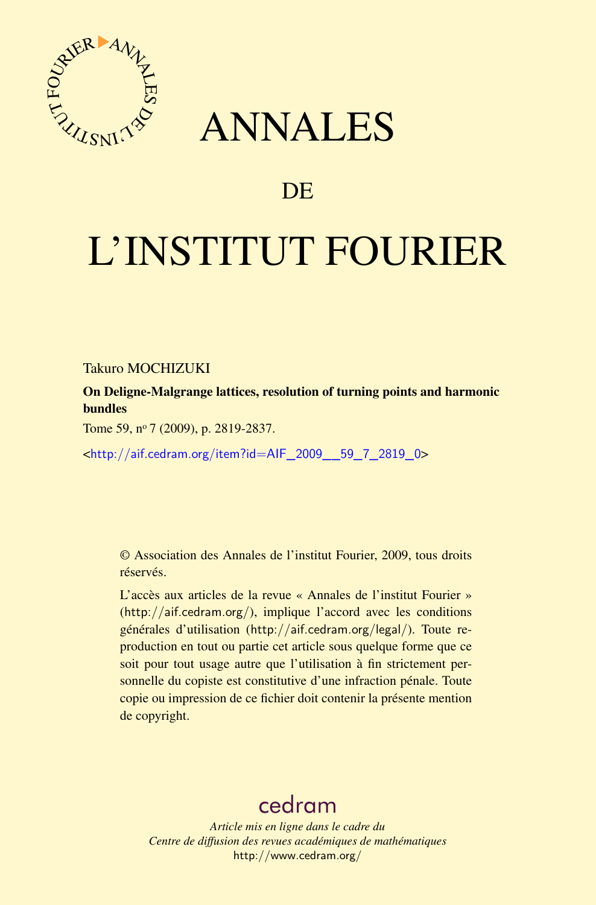

## ANNALES

## **DE**

# L'INSTITUT FOURIER

Takuro MOCHIZUKI

On Deligne-Malgrange lattices, resolution of turning points and harmonic bundles

Tome 59, nº 7 (2009), p. 2819-2837.

<[http://aif.cedram.org/item?id=AIF\\_2009\\_\\_59\\_7\\_2819\\_0](http://aif.cedram.org/item?id=AIF_2009__59_7_2819_0)>

© Association des Annales de l'institut Fourier, 2009, tous droits réservés.

L'accès aux articles de la revue « Annales de l'institut Fourier » (<http://aif.cedram.org/>), implique l'accord avec les conditions générales d'utilisation (<http://aif.cedram.org/legal/>). Toute reproduction en tout ou partie cet article sous quelque forme que ce soit pour tout usage autre que l'utilisation à fin strictement personnelle du copiste est constitutive d'une infraction pénale. Toute copie ou impression de ce fichier doit contenir la présente mention de copyright.

## [cedram](http://www.cedram.org/)

*Article mis en ligne dans le cadre du Centre de diffusion des revues académiques de mathématiques* <http://www.cedram.org/>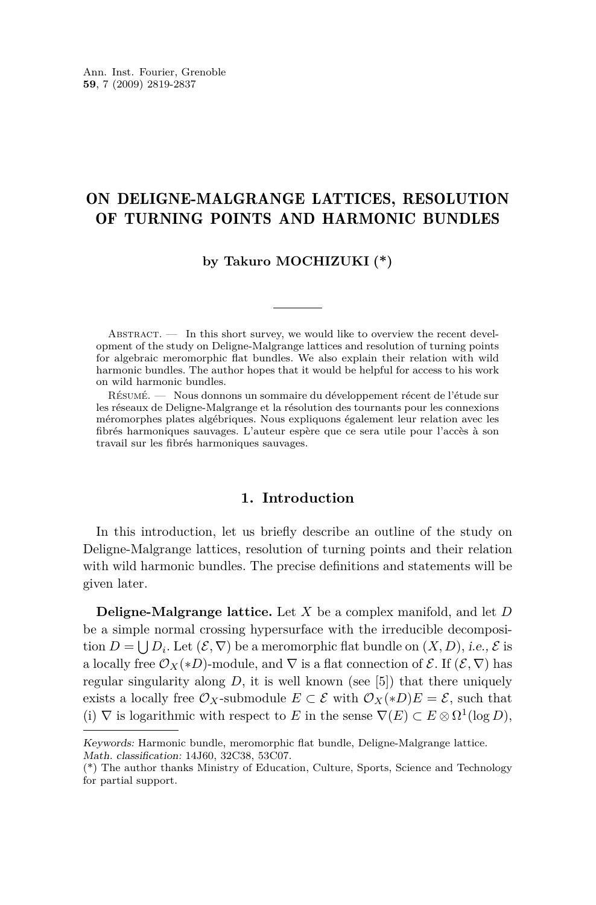#### ON DELIGNE-MALGRANGE LATTICES, RESOLUTION OF TURNING POINTS AND HARMONIC BUNDLES

#### **by Takuro MOCHIZUKI (\*)**

 $ABSTRACT.$  In this short survey, we would like to overview the recent development of the study on Deligne-Malgrange lattices and resolution of turning points for algebraic meromorphic flat bundles. We also explain their relation with wild harmonic bundles. The author hopes that it would be helpful for access to his work on wild harmonic bundles.

Résumé. — Nous donnons un sommaire du développement récent de l'étude sur les réseaux de Deligne-Malgrange et la résolution des tournants pour les connexions méromorphes plates algébriques. Nous expliquons également leur relation avec les fibrés harmoniques sauvages. L'auteur espère que ce sera utile pour l'accès à son travail sur les fibrés harmoniques sauvages.

#### **1. Introduction**

In this introduction, let us briefly describe an outline of the study on Deligne-Malgrange lattices, resolution of turning points and their relation with wild harmonic bundles. The precise definitions and statements will be given later.

**Deligne-Malgrange lattice.** Let *X* be a complex manifold, and let *D* be a simple normal crossing hypersurface with the irreducible decomposition  $D = \bigcup D_i$ . Let  $(\mathcal{E}, \nabla)$  be a meromorphic flat bundle on  $(X, D)$ , i.e.,  $\mathcal{E}$  is a locally free  $\mathcal{O}_X(\ast D)$ -module, and  $\nabla$  is a flat connection of  $\mathcal{E}$ . If  $(\mathcal{E}, \nabla)$  has regular singularity along  $D$ , it is well known (see [\[5\]](#page-18-0)) that there uniquely exists a locally free  $\mathcal{O}_X$ -submodule  $E \subset \mathcal{E}$  with  $\mathcal{O}_X(*D)E = \mathcal{E}$ , such that (i)  $∇$  is logarithmic with respect to *E* in the sense  $∇(E) ⊂ E ⊗ Ω<sup>1</sup>(log D)$ ,

Keywords: Harmonic bundle, meromorphic flat bundle, Deligne-Malgrange lattice. Math. classification: 14J60, 32C38, 53C07.

<sup>(\*)</sup> The author thanks Ministry of Education, Culture, Sports, Science and Technology for partial support.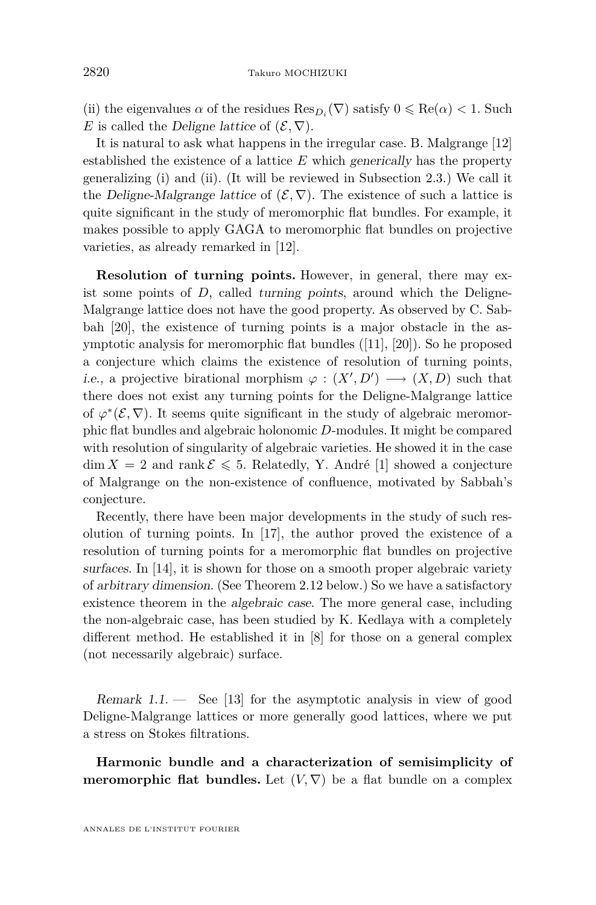(ii) the eigenvalues  $\alpha$  of the residues  ${\rm Res}_{D_i}(\nabla)$  satisfy  $0\leqslant {\rm Re}(\alpha)<1.$  Such *E* is called the Deligne lattice of  $(\mathcal{E}, \nabla)$ .

It is natural to ask what happens in the irregular case. B. Malgrange [\[12\]](#page-18-0) established the existence of a lattice *E* which generically has the property generalizing (i) and (ii). (It will be reviewed in Subsection [2.3.](#page-11-0)) We call it the Deligne-Malgrange lattice of  $(\mathcal{E}, \nabla)$ . The existence of such a lattice is quite significant in the study of meromorphic flat bundles. For example, it makes possible to apply GAGA to meromorphic flat bundles on projective varieties, as already remarked in [\[12\]](#page-18-0).

**Resolution of turning points.** However, in general, there may exist some points of  $D$ , called turning points, around which the Deligne-Malgrange lattice does not have the good property. As observed by C. Sabbah [\[20\]](#page-19-0), the existence of turning points is a major obstacle in the asymptotic analysis for meromorphic flat bundles ([\[11\]](#page-18-0), [\[20\]](#page-19-0)). So he proposed a conjecture which claims the existence of resolution of turning points, i.e., a projective birational morphism  $\varphi : (X', D') \longrightarrow (X, D)$  such that there does not exist any turning points for the Deligne-Malgrange lattice of  $\varphi^*(\mathcal{E}, \nabla)$ . It seems quite significant in the study of algebraic meromorphic flat bundles and algebraic holonomic *D*-modules. It might be compared with resolution of singularity of algebraic varieties. He showed it in the case  $\dim X = 2$  and rank  $\mathcal{E} \leq 5$ . Relatedly, Y. André [\[1\]](#page-18-0) showed a conjecture of Malgrange on the non-existence of confluence, motivated by Sabbah's conjecture.

Recently, there have been major developments in the study of such resolution of turning points. In [\[17\]](#page-19-0), the author proved the existence of a resolution of turning points for a meromorphic flat bundles on projective surfaces. In [\[14\]](#page-18-0), it is shown for those on a smooth proper algebraic variety of arbitrary dimension. (See Theorem [2.12](#page-14-0) below.) So we have a satisfactory existence theorem in the algebraic case. The more general case, including the non-algebraic case, has been studied by K. Kedlaya with a completely different method. He established it in [\[8\]](#page-18-0) for those on a general complex (not necessarily algebraic) surface.

Remark  $1.1.$  — See [\[13\]](#page-18-0) for the asymptotic analysis in view of good Deligne-Malgrange lattices or more generally good lattices, where we put a stress on Stokes filtrations.

**Harmonic bundle and a characterization of semisimplicity of meromorphic flat bundles.** Let  $(V, \nabla)$  be a flat bundle on a complex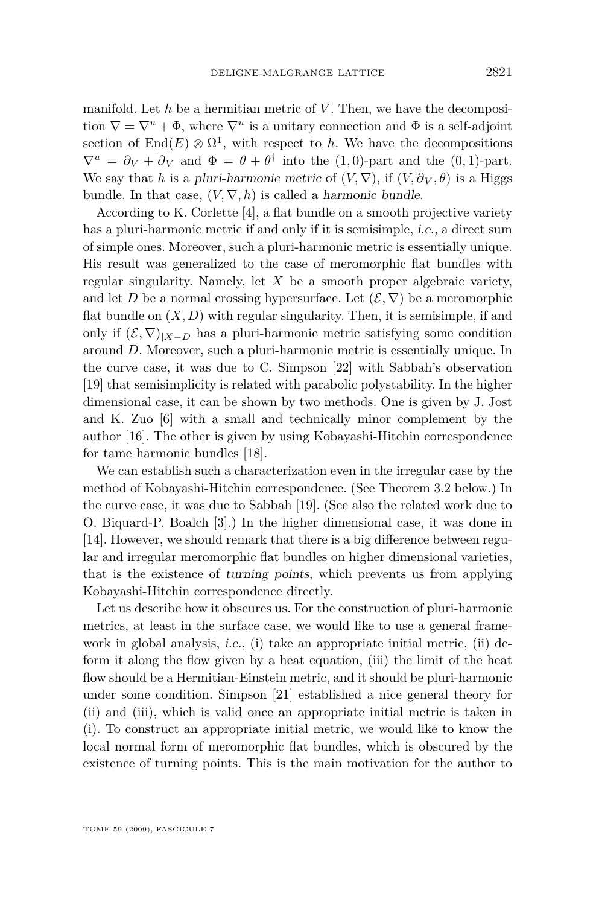manifold. Let *h* be a hermitian metric of *V* . Then, we have the decomposition  $\nabla = \nabla^u + \Phi$ , where  $\nabla^u$  is a unitary connection and  $\Phi$  is a self-adjoint section of  $\text{End}(E) \otimes \Omega^1$ , with respect to *h*. We have the decompositions  $\nabla^u = \partial_V + \overline{\partial}_V$  and  $\Phi = \theta + \theta^{\dagger}$  into the (1,0)-part and the (0,1)-part. We say that *h* is a pluri-harmonic metric of  $(V, \nabla)$ , if  $(V, \overline{\partial}_V, \theta)$  is a Higgs bundle. In that case,  $(V, \nabla, h)$  is called a *harmonic bundle*.

According to K. Corlette [\[4\]](#page-18-0), a flat bundle on a smooth projective variety has a pluri-harmonic metric if and only if it is semisimple, i.e., a direct sum of simple ones. Moreover, such a pluri-harmonic metric is essentially unique. His result was generalized to the case of meromorphic flat bundles with regular singularity. Namely, let *X* be a smooth proper algebraic variety, and let *D* be a normal crossing hypersurface. Let  $(\mathcal{E}, \nabla)$  be a meromorphic flat bundle on  $(X, D)$  with regular singularity. Then, it is semisimple, if and only if  $(\mathcal{E}, \nabla)|_{X-D}$  has a pluri-harmonic metric satisfying some condition around *D*. Moreover, such a pluri-harmonic metric is essentially unique. In the curve case, it was due to C. Simpson [\[22\]](#page-19-0) with Sabbah's observation [\[19\]](#page-19-0) that semisimplicity is related with parabolic polystability. In the higher dimensional case, it can be shown by two methods. One is given by J. Jost and K. Zuo [\[6\]](#page-18-0) with a small and technically minor complement by the author [\[16\]](#page-18-0). The other is given by using Kobayashi-Hitchin correspondence for tame harmonic bundles [\[18\]](#page-19-0).

We can establish such a characterization even in the irregular case by the method of Kobayashi-Hitchin correspondence. (See Theorem [3.2](#page-16-0) below.) In the curve case, it was due to Sabbah [\[19\]](#page-19-0). (See also the related work due to O. Biquard-P. Boalch [\[3\]](#page-18-0).) In the higher dimensional case, it was done in [\[14\]](#page-18-0). However, we should remark that there is a big difference between regular and irregular meromorphic flat bundles on higher dimensional varieties, that is the existence of turning points, which prevents us from applying Kobayashi-Hitchin correspondence directly.

Let us describe how it obscures us. For the construction of pluri-harmonic metrics, at least in the surface case, we would like to use a general framework in global analysis, *i.e.*, (i) take an appropriate initial metric, (ii) deform it along the flow given by a heat equation, (iii) the limit of the heat flow should be a Hermitian-Einstein metric, and it should be pluri-harmonic under some condition. Simpson [\[21\]](#page-19-0) established a nice general theory for (ii) and (iii), which is valid once an appropriate initial metric is taken in (i). To construct an appropriate initial metric, we would like to know the local normal form of meromorphic flat bundles, which is obscured by the existence of turning points. This is the main motivation for the author to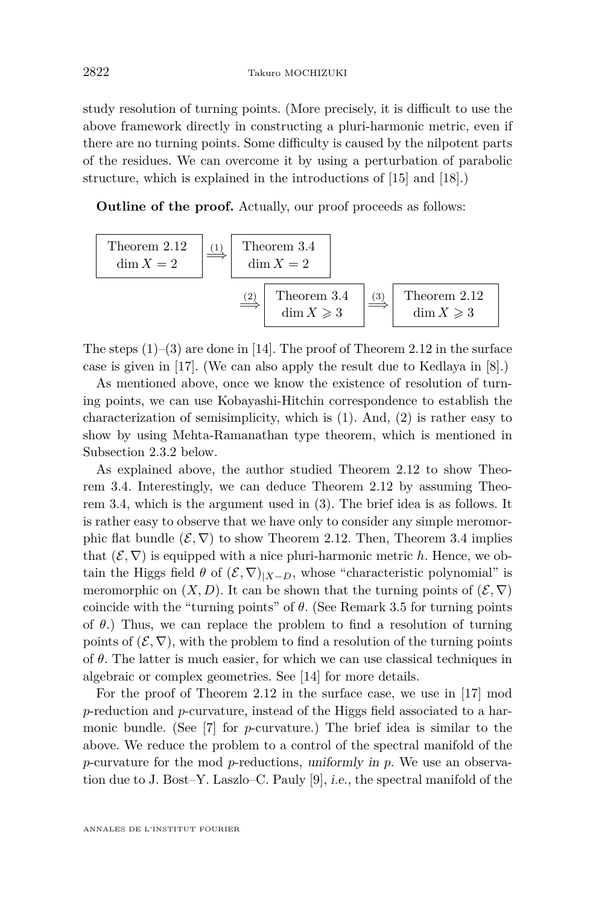study resolution of turning points. (More precisely, it is difficult to use the above framework directly in constructing a pluri-harmonic metric, even if there are no turning points. Some difficulty is caused by the nilpotent parts of the residues. We can overcome it by using a perturbation of parabolic structure, which is explained in the introductions of [\[15\]](#page-18-0) and [\[18\]](#page-19-0).)

**Outline of the proof.** Actually, our proof proceeds as follows:

Theorem 2.12  
\n
$$
\dim X = 2
$$
\n
$$
\frac{(1)}{\dim X} = 2
$$
\n
$$
\frac{(2)}{\dim X} = 3.4
$$
\n
$$
\frac{(3)}{\dim X} = 3
$$
\n
$$
\frac{(3)}{\dim X} = 3
$$
\n
$$
\frac{(3)}{\dim X} = 3
$$
\n
$$
\frac{(3)}{\dim X} = 3
$$

The steps  $(1)-(3)$  are done in [\[14\]](#page-18-0). The proof of Theorem [2.12](#page-14-0) in the surface case is given in [\[17\]](#page-19-0). (We can also apply the result due to Kedlaya in [\[8\]](#page-18-0).)

As mentioned above, once we know the existence of resolution of turning points, we can use Kobayashi-Hitchin correspondence to establish the characterization of semisimplicity, which is (1). And, (2) is rather easy to show by using Mehta-Ramanathan type theorem, which is mentioned in Subsection [2.3.2](#page-13-0) below.

As explained above, the author studied Theorem [2.12](#page-14-0) to show Theorem [3.4.](#page-17-0) Interestingly, we can deduce Theorem [2.12](#page-14-0) by assuming Theorem [3.4,](#page-17-0) which is the argument used in (3). The brief idea is as follows. It is rather easy to observe that we have only to consider any simple meromorphic flat bundle  $(\mathcal{E}, \nabla)$  to show Theorem [2.12.](#page-14-0) Then, Theorem [3.4](#page-17-0) implies that  $(\mathcal{E}, \nabla)$  is equipped with a nice pluri-harmonic metric *h*. Hence, we obtain the Higgs field  $\theta$  of  $(\mathcal{E}, \nabla)|_{X-D}$ , whose "characteristic polynomial" is meromorphic on  $(X, D)$ . It can be shown that the turning points of  $(\mathcal{E}, \nabla)$ coincide with the "turning points" of *θ*. (See Remark [3.5](#page-18-0) for turning points of *θ*.) Thus, we can replace the problem to find a resolution of turning points of  $(\mathcal{E}, \nabla)$ , with the problem to find a resolution of the turning points of *θ*. The latter is much easier, for which we can use classical techniques in algebraic or complex geometries. See [\[14\]](#page-18-0) for more details.

For the proof of Theorem [2.12](#page-14-0) in the surface case, we use in [\[17\]](#page-19-0) mod *p*-reduction and *p*-curvature, instead of the Higgs field associated to a harmonic bundle. (See [\[7\]](#page-18-0) for *p*-curvature.) The brief idea is similar to the above. We reduce the problem to a control of the spectral manifold of the *p*-curvature for the mod *p*-reductions, uniformly in *p*. We use an observation due to J. Bost–Y. Laszlo–C. Pauly [\[9\]](#page-18-0), i.e., the spectral manifold of the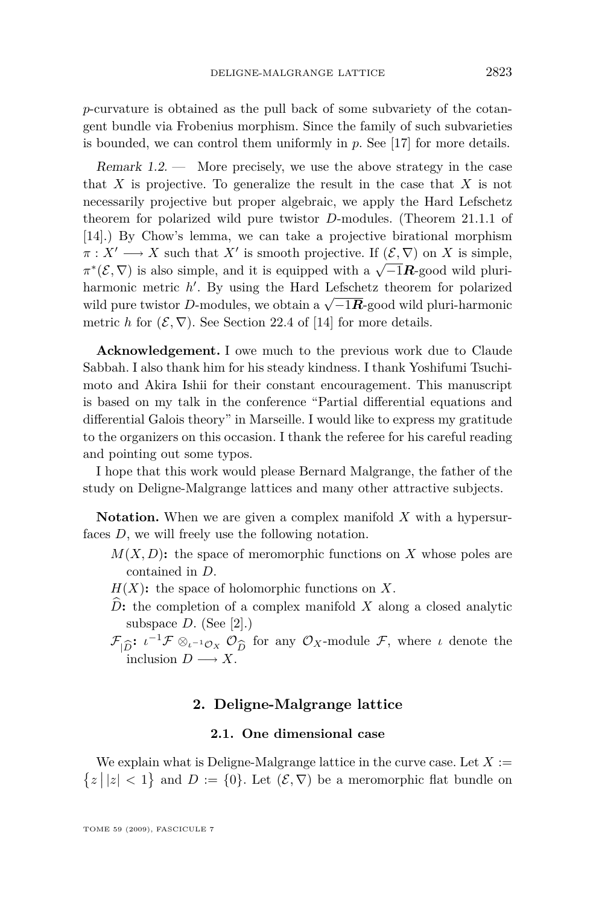<span id="page-5-0"></span>*p*-curvature is obtained as the pull back of some subvariety of the cotangent bundle via Frobenius morphism. Since the family of such subvarieties is bounded, we can control them uniformly in *p*. See [\[17\]](#page-19-0) for more details.

Remark 1.2. — More precisely, we use the above strategy in the case that *X* is projective. To generalize the result in the case that *X* is not necessarily projective but proper algebraic, we apply the Hard Lefschetz theorem for polarized wild pure twistor *D*-modules. (Theorem 21.1.1 of [\[14\]](#page-18-0).) By Chow's lemma, we can take a projective birational morphism  $\pi: X' \longrightarrow X$  such that  $X'$  is smooth projective. If  $(\mathcal{E}, \nabla)$  on *X* is simple,  $\pi^*(\mathcal{E}, \nabla)$  is also simple, and it is equipped with a *√*<sup>-1</sup>*R*-good wild pluriharmonic metric h'. By using the Hard Lefschetz theorem for polarized wild pure twistor *<sup>D</sup>*-modules, we obtain a *<sup>√</sup> −*1*R*-good wild pluri-harmonic metric *h* for  $(\mathcal{E}, \nabla)$ . See Section 22.4 of [\[14\]](#page-18-0) for more details.

**Acknowledgement.** I owe much to the previous work due to Claude Sabbah. I also thank him for his steady kindness. I thank Yoshifumi Tsuchimoto and Akira Ishii for their constant encouragement. This manuscript is based on my talk in the conference "Partial differential equations and differential Galois theory" in Marseille. I would like to express my gratitude to the organizers on this occasion. I thank the referee for his careful reading and pointing out some typos.

I hope that this work would please Bernard Malgrange, the father of the study on Deligne-Malgrange lattices and many other attractive subjects.

**Notation.** When we are given a complex manifold *X* with a hypersurfaces *D*, we will freely use the following notation.

- $M(X, D)$ : the space of meromorphic functions on X whose poles are contained in *D*.
- $H(X)$ : the space of holomorphic functions on X.
- $D$ : the completion of a complex manifold  $X$  along a closed analytic subspace  $D$ . (See [\[2\]](#page-18-0).)
- $\mathcal{F}_{|\widehat{D}}$ :  $\iota^{-1}\mathcal{F}\otimes_{\iota^{-1}\mathcal{O}_X}\mathcal{O}_{\widehat{D}}$  for any  $\mathcal{O}_X$ -module  $\mathcal{F}$ , where  $\iota$  denote the inclusion  $D \longrightarrow X$ . inclusion  $D \longrightarrow X$ .

#### **2. Deligne-Malgrange lattice**

#### **2.1. One dimensional case**

We explain what is Deligne-Malgrange lattice in the curve case. Let  $X :=$  $\{z \mid |z| < 1\}$  and  $D := \{0\}$ . Let  $(\mathcal{E}, \nabla)$  be a meromorphic flat bundle on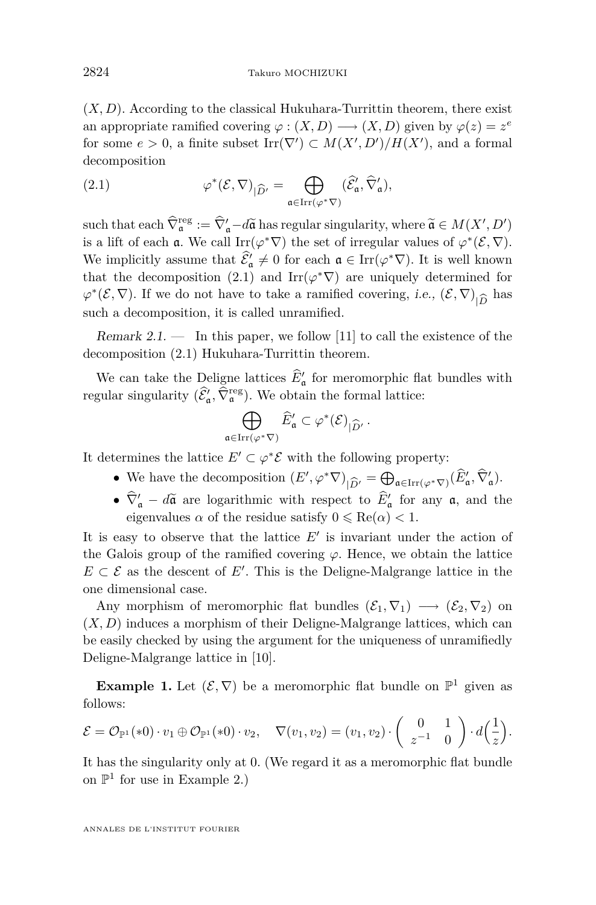$(X, D)$ . According to the classical Hukuhara-Turrittin theorem, there exist an appropriate ramified covering  $\varphi : (X, D) \longrightarrow (X, D)$  given by  $\varphi(z) = z^e$ for some  $e > 0$ , a finite subset  $\text{Irr}(\nabla') \subset M(X', D')/H(X')$ , and a formal decomposition

(2.1) 
$$
\varphi^*(\mathcal{E}, \nabla)_{|\widehat{D}'} = \bigoplus_{\mathfrak{a} \in \operatorname{Irr}(\varphi^* \nabla)} (\widehat{\mathcal{E}}'_{\mathfrak{a}}, \widehat{\nabla}'_{\mathfrak{a}}),
$$

such that each  $\hat{\nabla}_{\mathfrak{a}}^{\text{reg}} := \hat{\nabla}_{\mathfrak{a}}^{\prime} - d\tilde{\mathfrak{a}}$  has regular singularity, where  $\tilde{\mathfrak{a}} \in M(X', D')$ is a lift of each **a**. We call  $\text{Irr}(\varphi^*\nabla)$  the set of irregular values of  $\varphi^*(\mathcal{E}, \nabla)$ . We implicitly assume that  $\mathcal{E}'_a \neq 0$  for each  $a \in \text{Irr}(\varphi^*\nabla)$ . It is well known that the decomposition (2.1) and  $\text{Irr}(\varphi^*\nabla)$  are uniquely determined for  $\varphi^*(\mathcal{E}, \nabla)$ . If we do not have to take a ramified covering, *i.e.*,  $(\mathcal{E}, \nabla)_{|\widehat{D}}$  has such a decomposition, it is called unramified. such a decomposition, it is called unramified.

Remark 2.1.  $\qquad$  In this paper, we follow [\[11\]](#page-18-0) to call the existence of the decomposition (2.1) Hukuhara-Turrittin theorem.

We can take the Deligne lattices  $\hat{E}'_a$  for meromorphic flat bundles with regular singularity  $(\widehat{\mathcal{E}}'_\mathfrak{a}, \widehat{\nabla}_\mathfrak{a}^{\text{reg}})$ . We obtain the formal lattice:

$$
\bigoplus_{{\mathfrak a} \in \operatorname{Irr}(\varphi^*\nabla)} \widehat{E}'_{{\mathfrak a}} \subset \varphi^*(\mathcal{E})_{|\widehat{D}'}.
$$

It determines the lattice  $E' \subset \varphi^* \mathcal{E}$  with the following property:

- We have the decomposition  $(E', \varphi^* \nabla)_{|\widehat{D}'} = \bigoplus_{\mathfrak{a} \in \text{Irr}(\varphi^* \nabla)} (\widehat{E}'_{\mathfrak{a}}, \widehat{\nabla}'_{\mathfrak{a}})$ .
- $\hat{\nabla}'_a d\hat{a}$  are logarithmic with respect to  $E'_a$  for any  $a$ , and the eigenvalues  $\alpha$  of the residue satisfy  $0 \leq \text{Re}(\alpha) < 1$ .

It is easy to observe that the lattice  $E'$  is invariant under the action of the Galois group of the ramified covering  $\varphi$ . Hence, we obtain the lattice  $E \subset \mathcal{E}$  as the descent of *E'*. This is the Deligne-Malgrange lattice in the one dimensional case.

Any morphism of meromorphic flat bundles  $(\mathcal{E}_1, \nabla_1) \longrightarrow (\mathcal{E}_2, \nabla_2)$  on  $(X, D)$  induces a morphism of their Deligne-Malgrange lattices, which can be easily checked by using the argument for the uniqueness of unramifiedly Deligne-Malgrange lattice in [\[10\]](#page-18-0).

**Example 1.** Let  $(\mathcal{E}, \nabla)$  be a meromorphic flat bundle on  $\mathbb{P}^1$  given as follows:

$$
\mathcal{E} = \mathcal{O}_{\mathbb{P}^1}(*0) \cdot v_1 \oplus \mathcal{O}_{\mathbb{P}^1}(*0) \cdot v_2, \quad \nabla(v_1, v_2) = (v_1, v_2) \cdot \begin{pmatrix} 0 & 1 \\ z^{-1} & 0 \end{pmatrix} \cdot d\left(\frac{1}{z}\right).
$$

It has the singularity only at 0. (We regard it as a meromorphic flat bundle on  $\mathbb{P}^1$  for use in Example 2.)

ANNALES DE L'INSTITUT FOURIER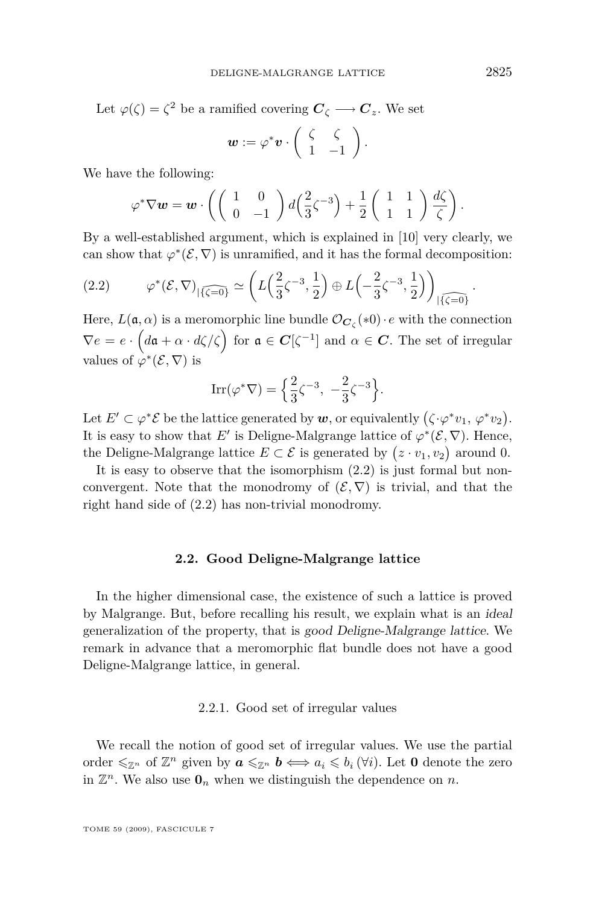<span id="page-7-0"></span>Let  $\varphi(\zeta) = \zeta^2$  be a ramified covering  $C_{\zeta} \longrightarrow C_z$ . We set

$$
\mathbf{w} := \varphi^* \mathbf{v} \cdot \left( \begin{array}{cc} \zeta & \zeta \\ 1 & -1 \end{array} \right).
$$

We have the following:

$$
\varphi^* \nabla \boldsymbol{w} = \boldsymbol{w} \cdot \left( \begin{pmatrix} 1 & 0 \\ 0 & -1 \end{pmatrix} d \left( \frac{2}{3} \zeta^{-3} \right) + \frac{1}{2} \begin{pmatrix} 1 & 1 \\ 1 & 1 \end{pmatrix} \frac{d \zeta}{\zeta} \right).
$$

By a well-established argument, which is explained in [\[10\]](#page-18-0) very clearly, we can show that  $\varphi^*(\mathcal{E}, \nabla)$  is unramified, and it has the formal decomposition:

$$
(2.2) \qquad \varphi^*(\mathcal{E}, \nabla)_{|\widehat{\{\zeta=0\}}} \simeq \left( L\left(\frac{2}{3}\zeta^{-3}, \frac{1}{2}\right) \oplus L\left(-\frac{2}{3}\zeta^{-3}, \frac{1}{2}\right) \right)_{|\widehat{\{\zeta=0\}}}
$$

Here,  $L(\mathfrak{a}, \alpha)$  is a meromorphic line bundle  $\mathcal{O}_{\mathbf{C}_{\zeta}}(*0) \cdot e$  with the connection  $\nabla e = e \cdot \left( d\mathfrak{a} + \alpha \cdot d\zeta/\zeta \right)$  for  $\mathfrak{a} \in \mathbb{C}[\zeta^{-1}]$  and  $\alpha \in \mathbb{C}$ . The set of irregular values of  $\varphi^*(\mathcal{E}, \nabla)$  is

$$
\operatorname{Irr}(\varphi^*\nabla) = \left\{ \frac{2}{3}\zeta^{-3}, -\frac{2}{3}\zeta^{-3} \right\}.
$$

Let  $E' \subset \varphi^* \mathcal{E}$  be the lattice generated by  $w$ , or equivalently  $(\zeta \cdot \varphi^* v_1, \varphi^* v_2)$ . It is easy to show that *E'* is Deligne-Malgrange lattice of  $\varphi^*(\mathcal{E}, \nabla)$ . Hence, the Deligne-Malgrange lattice  $E \subset \mathcal{E}$  is generated by  $(z \cdot v_1, v_2)$  around 0.

It is easy to observe that the isomorphism (2.2) is just formal but nonconvergent. Note that the monodromy of  $(\mathcal{E}, \nabla)$  is trivial, and that the right hand side of (2.2) has non-trivial monodromy.

#### **2.2. Good Deligne-Malgrange lattice**

In the higher dimensional case, the existence of such a lattice is proved by Malgrange. But, before recalling his result, we explain what is an ideal generalization of the property, that is good Deligne-Malgrange lattice. We remark in advance that a meromorphic flat bundle does not have a good Deligne-Malgrange lattice, in general.

#### 2.2.1. Good set of irregular values

We recall the notion of good set of irregular values. We use the partial order  $\leq \mathbb{Z}^n$  of  $\mathbb{Z}^n$  given by  $a \leq \mathbb{Z}^n$   $b \iff a_i \leq b_i$  ( $\forall i$ ). Let 0 denote the zero in  $\mathbb{Z}^n$ . We also use  $\mathbf{0}_n$  when we distinguish the dependence on *n*.

*.*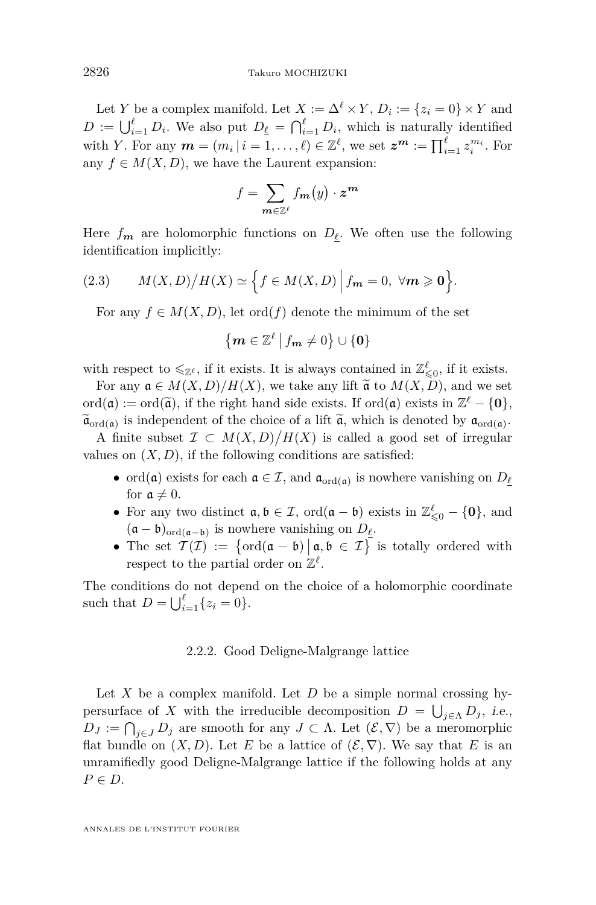<span id="page-8-0"></span>Let *Y* be a complex manifold. Let  $X := \Delta^{\ell} \times Y$ ,  $D_i := \{z_i = 0\} \times Y$  and  $D := \bigcup_{i=1}^{\ell} D_i$ . We also put  $D_{\underline{\ell}} = \bigcap_{i=1}^{\ell} D_i$ , which is naturally identified with *Y*. For any  $m = (m_i | i = 1, ..., \ell) \in \mathbb{Z}^{\ell}$ , we set  $z^m := \prod_{i=1}^{\ell} z_i^{m_i}$ . For any  $f \in M(X, D)$ , we have the Laurent expansion:

$$
f = \sum_{\mathbf{m} \in \mathbb{Z}^\ell} f_{\mathbf{m}}(y) \cdot z^{\mathbf{m}}
$$

Here  $f_m$  are holomorphic functions on  $D_\ell$ . We often use the following identification implicitly:

(2.3) 
$$
M(X,D)/H(X) \simeq \Big\{ f \in M(X,D) \Big| f_m = 0, \ \forall m \geq 0 \Big\}.
$$

For any  $f \in M(X, D)$ , let ord $(f)$  denote the minimum of the set

$$
\{ \mathbf{m} \in \mathbb{Z}^{\ell} \, \big| \, f_{\mathbf{m}} \neq 0 \} \cup \{ \mathbf{0} \}
$$

with respect to  $\leqslant_{\mathbb{Z}^\ell}$ , if it exists. It is always contained in  $\mathbb{Z}^\ell_{\leqslant 0}$ , if it exists.

For any  $\mathfrak{a} \in M(X, D)/H(X)$ , we take any lift  $\tilde{\mathfrak{a}}$  to  $M(X, D)$ , and we set ord(a) := ord( $\tilde{a}$ ), if the right hand side exists. If ord(a) exists in  $\mathbb{Z}^{\ell} - \{0\}$ ,<br> $\tilde{c}$  *i* is denoted by a *i i* denoted by a  $\widetilde{\mathfrak{a}}_{\text{ord}(\mathfrak{a})}$  is independent of the choice of a lift  $\widetilde{\mathfrak{a}}$ , which is denoted by  $\mathfrak{a}_{\text{ord}(\mathfrak{a})}$ .

A finite subset  $\mathcal{I} \subset M(X,D)/H(X)$  is called a good set of irregular values on  $(X, D)$ , if the following conditions are satisfied:

- ord( $\mathfrak{a}$ ) exists for each  $\mathfrak{a} \in \mathcal{I}$ , and  $\mathfrak{a}_{\text{ord}(\mathfrak{a})}$  is nowhere vanishing on  $D_{\underline{\ell}}$ for  $\mathfrak{a} \neq 0$ .
- *•* For any two distinct a*,* b *∈ I*, ord(a *−* b) exists in Z *`* <sup>6</sup><sup>0</sup> *− {***0***}*, and  $(a - b)_{\text{ord}(a - b)}$  is nowhere vanishing on  $D_{\ell}$ .
- The set  $\mathcal{T}(\mathcal{I}) := \{ \text{ord}(\mathfrak{a} \mathfrak{b}) \mid \mathfrak{a}, \mathfrak{b} \in \mathcal{I} \}$  is totally ordered with respect to the partial order on  $\mathbb{Z}^{\ell}$ .

The conditions do not depend on the choice of a holomorphic coordinate such that  $D = \bigcup_{i=1}^{\ell} \{z_i = 0\}.$ 

#### 2.2.2. Good Deligne-Malgrange lattice

Let *X* be a complex manifold. Let *D* be a simple normal crossing hypersurface of *X* with the irreducible decomposition  $D = \bigcup_{j \in \Lambda} D_j$ , i.e.,  $D_J := \bigcap_{j \in J} D_j$  are smooth for any  $J \subset \Lambda$ . Let  $(\mathcal{E}, \nabla)$  be a meromorphic flat bundle on  $(X, D)$ . Let *E* be a lattice of  $(\mathcal{E}, \nabla)$ . We say that *E* is an unramifiedly good Deligne-Malgrange lattice if the following holds at any *P ∈ D*.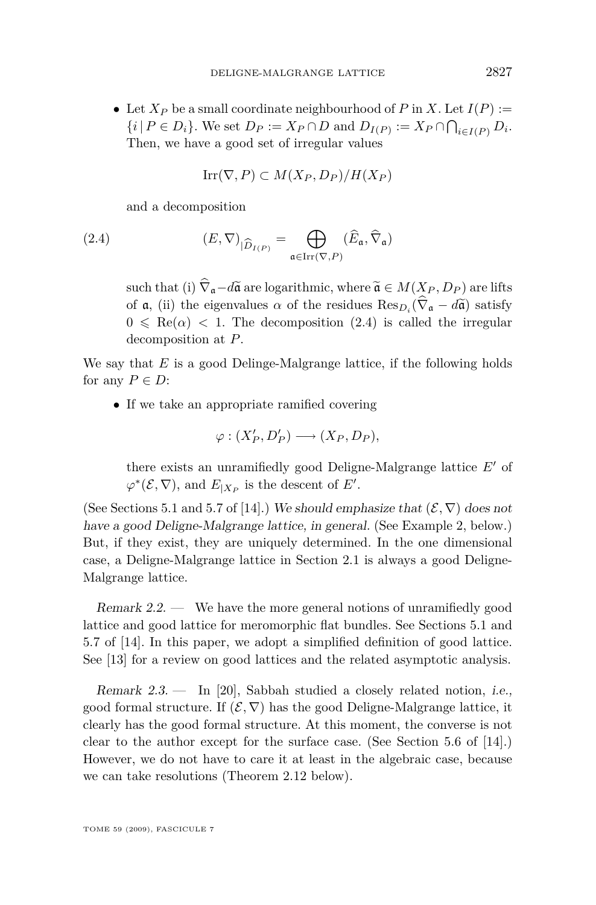• Let  $X_P$  be a small coordinate neighbourhood of  $P$  in  $X$ . Let  $I(P) :=$  $\{i \mid P \in D_i\}$ . We set  $D_P := X_P \cap D$  and  $D_{I(P)} := X_P \cap \bigcap_{i \in I(P)} D_i$ . Then, we have a good set of irregular values

$$
Irr(\nabla, P) \subset M(X_P, D_P)/H(X_P)
$$

and a decomposition

(2.4) 
$$
(E, \nabla)_{|\widehat{D}_{I(P)}} = \bigoplus_{\mathfrak{a} \in \operatorname{Irr}(\nabla, P)} (\widehat{E}_{\mathfrak{a}}, \widehat{\nabla}_{\mathfrak{a}})
$$

such that (i)  $\hat{\nabla}_{a} - d\tilde{a}$  are logarithmic, where  $\tilde{a} \in M(X_P, D_P)$  are lifts of  $\mathfrak{a}$ , (ii) the eigenvalues  $\alpha$  of the residues  $\text{Res}_{D_i}(\nabla_{\mathfrak{a}} - d\tilde{\mathfrak{a}})$  satisfy  $0 \leq \text{Re}(\alpha) < 1$ . The decomposition (2.4) is called the irregular decomposition at *P*.

We say that *E* is a good Delinge-Malgrange lattice, if the following holds for any  $P \in D$ :

• If we take an appropriate ramified covering

$$
\varphi: (X'_P, D'_P) \longrightarrow (X_P, D_P),
$$

there exists an unramifiedly good Deligne-Malgrange lattice  $E'$  of  $\varphi^*(\mathcal{E}, \nabla)$ , and  $E_{|X_P}$  is the descent of *E'*.

(See Sections 5.1 and 5.7 of [\[14\]](#page-18-0).) We should emphasize that  $(\mathcal{E}, \nabla)$  does not have a good Deligne-Malgrange lattice, in general. (See Example 2, below.) But, if they exist, they are uniquely determined. In the one dimensional case, a Deligne-Malgrange lattice in Section [2.1](#page-5-0) is always a good Deligne-Malgrange lattice.

Remark 2.2. — We have the more general notions of unramifiedly good lattice and good lattice for meromorphic flat bundles. See Sections 5.1 and 5.7 of [\[14\]](#page-18-0). In this paper, we adopt a simplified definition of good lattice. See [\[13\]](#page-18-0) for a review on good lattices and the related asymptotic analysis.

Remark 2.3. — In [\[20\]](#page-19-0), Sabbah studied a closely related notion, i.e., good formal structure. If  $(\mathcal{E}, \nabla)$  has the good Deligne-Malgrange lattice, it clearly has the good formal structure. At this moment, the converse is not clear to the author except for the surface case. (See Section 5.6 of [\[14\]](#page-18-0).) However, we do not have to care it at least in the algebraic case, because we can take resolutions (Theorem [2.12](#page-14-0) below).

TOME 59 (2009), FASCICULE 7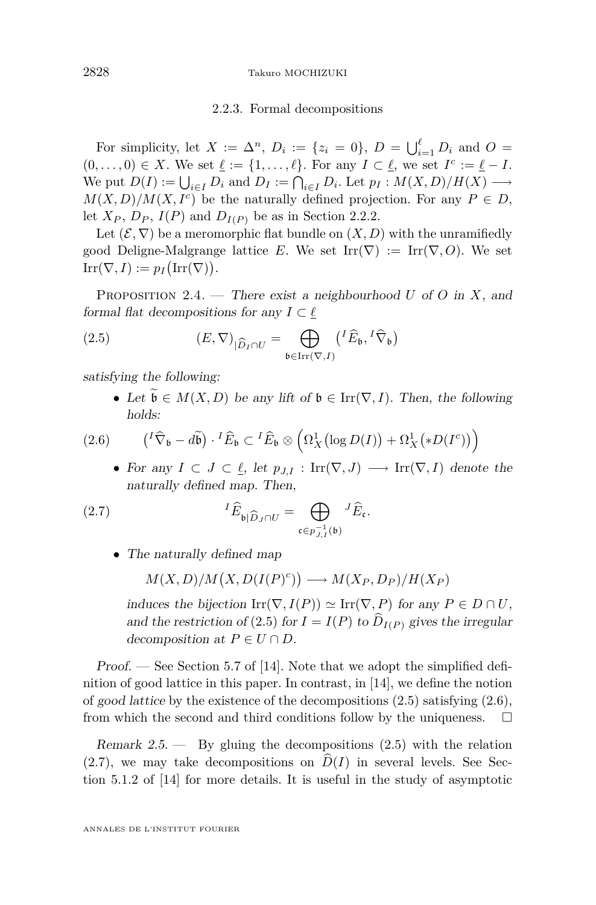#### 2.2.3. Formal decompositions

<span id="page-10-0"></span>For simplicity, let  $X := \Delta^n$ ,  $D_i := \{z_i = 0\}$ ,  $D = \bigcup_{i=1}^{\ell} D_i$  and  $O =$  $(0, \ldots, 0) \in X$ . We set  $\underline{\ell} := \{1, \ldots, \ell\}$ . For any  $I \subset \underline{\ell}$ , we set  $I^c := \underline{\ell} - I$ . We put  $D(I) := \bigcup_{i \in I} D_i$  and  $D_I := \bigcap_{i \in I} D_i$ . Let  $p_I : M(X, D)/H(X) \longrightarrow$  $M(X, D)/M(X, I^c)$  be the naturally defined projection. For any  $P \in D$ , let  $X_P$ ,  $D_P$ ,  $I(P)$  and  $D_{I(P)}$  be as in Section [2.2.2.](#page-8-0)

Let  $(\mathcal{E}, \nabla)$  be a meromorphic flat bundle on  $(X, D)$  with the unramifiedly good Deligne-Malgrange lattice *E*. We set  $\text{Irr}(\nabla) := \text{Irr}(\nabla, O)$ . We set  $\mathrm{Irr}(\nabla, I) := p_I(\mathrm{Irr}(\nabla)).$ 

Proposition 2.4. — There exist a neighbourhood *U* of *O* in *X*, and formal flat decompositions for any  $I \subset \underline{\ell}$ 

(2.5) 
$$
(E, \nabla)_{|\widehat{D}_I \cap U} = \bigoplus_{\mathfrak{b} \in \operatorname{Irr}(\nabla, I)} \left( \begin{matrix} I \widehat{E}_{\mathfrak{b}}, \,^I \widehat{\nabla}_{\mathfrak{b}} \end{matrix} \right)
$$

satisfying the following:

• Let  $\widetilde{\mathfrak{b}} \in M(X, D)$  be any lift of  $\mathfrak{b} \in \text{Irr}(\nabla, I)$ . Then, the following holds:

(2.6) 
$$
\left({}^{I}\widehat{\nabla}_{\mathfrak{b}}-d\widetilde{\mathfrak{b}}\right)\cdot {}^{I}\widehat{E}_{\mathfrak{b}}\subset {}^{I}\widehat{E}_{\mathfrak{b}}\otimes\left(\Omega_{X}^{1}\left(\log D(I)\right)+\Omega_{X}^{1}\left(*D(I^{c})\right)\right)
$$

• For any  $I \subset J \subset \ell$ , let  $p_{J,I} : \text{Irr}(\nabla, J) \longrightarrow \text{Irr}(\nabla, I)$  denote the naturally defined map. Then,

(2.7) 
$$
{}^{I}\widehat{E}_{\mathfrak{b}|\widehat{D}_{J}\cap U} = \bigoplus_{\mathfrak{c} \in p_{J,I}^{-1}(\mathfrak{b})} {}^{J}\widehat{E}_{\mathfrak{c}}.
$$

• The naturally defined map

$$
M(X, D)/M(X, D(I(P)^c)) \longrightarrow M(X_P, D_P)/H(X_P)
$$

induces the bijection  $\text{Irr}(\nabla, I(P)) \simeq \text{Irr}(\nabla, P)$  for any  $P \in D \cap U$ , and the restriction of (2.5) for  $I = I(P)$  to  $D_{I(P)}$  gives the irregular decomposition at  $P \in U \cap D$ .

Proof. — See Section 5.7 of [\[14\]](#page-18-0). Note that we adopt the simplified definition of good lattice in this paper. In contrast, in [\[14\]](#page-18-0), we define the notion of good lattice by the existence of the decompositions  $(2.5)$  satisfying  $(2.6)$ , from which the second and third conditions follow by the uniqueness.  $\Box$ 

Remark  $2.5$ .  $-$  By gluing the decompositions  $(2.5)$  with the relation  $(2.7)$ , we may take decompositions on  $D(I)$  in several levels. See Section 5.1.2 of [\[14\]](#page-18-0) for more details. It is useful in the study of asymptotic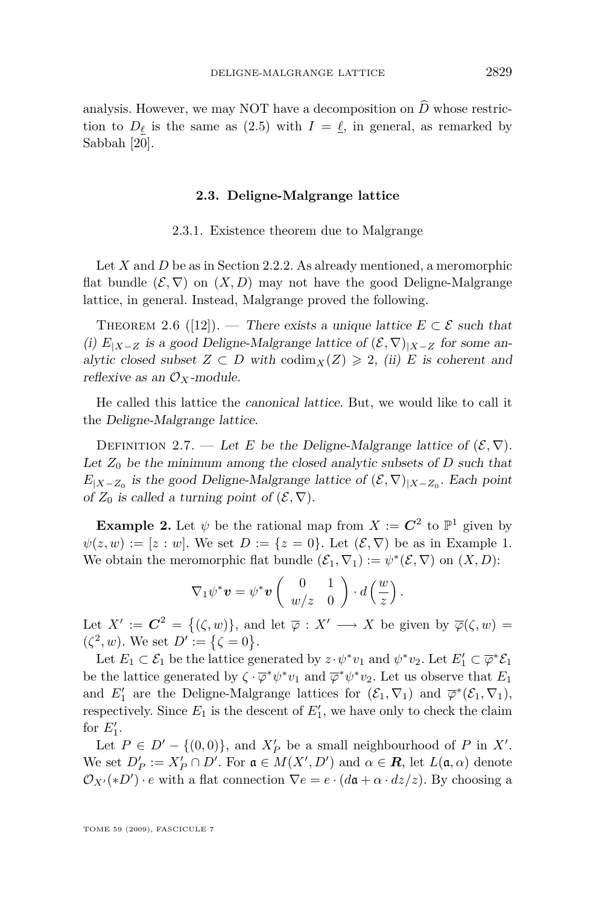<span id="page-11-0"></span>analysis. However, we may NOT have a decomposition on  $\widehat{D}$  whose restriction to  $D_{\ell}$  is the same as [\(2.5\)](#page-10-0) with  $I = \ell$ , in general, as remarked by Sabbah [\[20\]](#page-19-0).

#### **2.3. Deligne-Malgrange lattice**

2.3.1. Existence theorem due to Malgrange

Let *X* and *D* be as in Section [2.2.2.](#page-8-0) As already mentioned, a meromorphic flat bundle  $(\mathcal{E}, \nabla)$  on  $(X, D)$  may not have the good Deligne-Malgrange lattice, in general. Instead, Malgrange proved the following.

THEOREM 2.6 ([\[12\]](#page-18-0)). — There exists a unique lattice  $E \subset \mathcal{E}$  such that (i)  $E$ <sub>|X−Z</sub> is a good Deligne-Malgrange lattice of  $(\mathcal{E}, \nabla)$ <sub>|X−Z</sub> for some analytic closed subset  $Z \subset D$  with  $\text{codim}_X(Z) \geq 2$ , (ii) *E* is coherent and reflexive as an  $\mathcal{O}_X$ -module.

He called this lattice the canonical lattice. But, we would like to call it the Deligne-Malgrange lattice.

DEFINITION 2.7. — Let *E* be the Deligne-Malgrange lattice of  $(\mathcal{E}, \nabla)$ . Let  $Z_0$  be the minimum among the closed analytic subsets of  $D$  such that  $E_{|X-Z_0}$  is the good Deligne-Malgrange lattice of  $(\mathcal{E}, \nabla)_{|X-Z_0}$ . Each point of  $Z_0$  is called a turning point of  $(\mathcal{E}, \nabla)$ .

**Example 2.** Let  $\psi$  be the rational map from  $X := \mathbb{C}^2$  to  $\mathbb{P}^1$  given by  $\psi(z, w) := [z : w]$ . We set  $D := \{z = 0\}$ . Let  $(\mathcal{E}, \nabla)$  be as in Example 1. We obtain the meromorphic flat bundle  $(\mathcal{E}_1, \nabla_1) := \psi^*(\mathcal{E}, \nabla)$  on  $(X, D)$ :

$$
\nabla_1 \psi^* \mathbf{v} = \psi^* \mathbf{v} \left( \begin{array}{cc} 0 & 1 \\ w/z & 0 \end{array} \right) \cdot d \left( \frac{w}{z} \right).
$$

Let  $X' := \mathbb{C}^2 = \{(\zeta, w)\}\$ , and let  $\overline{\varphi}: X' \longrightarrow X$  be given by  $\overline{\varphi}(\zeta, w) =$  $(\zeta^2, w)$ . We set  $D' := {\zeta = 0}$ .

Let  $E_1 \subset \mathcal{E}_1$  be the lattice generated by  $z \cdot \psi^* v_1$  and  $\psi^* v_2$ . Let  $E'_1 \subset \overline{\varphi}^* \mathcal{E}_1$ be the lattice generated by  $\zeta \cdot \overline{\varphi}^* \psi^* v_1$  and  $\overline{\varphi}^* \psi^* v_2$ . Let us observe that  $E_1$ and  $E'_1$  are the Deligne-Malgrange lattices for  $(\mathcal{E}_1, \nabla_1)$  and  $\overline{\varphi}^*(\mathcal{E}_1, \nabla_1)$ , respectively. Since  $E_1$  is the descent of  $E'_1$ , we have only to check the claim for  $E_1'$ .

Let  $P \in D' - \{(0,0)\}\$ , and  $X'_{P}$  be a small neighbourhood of  $P$  in  $X'$ . We set  $D'_P := X'_P \cap D'$ . For  $\mathfrak{a} \in M(X', D')$  and  $\alpha \in \mathbb{R}$ , let  $L(\mathfrak{a}, \alpha)$  denote  $\mathcal{O}_{X'}(*D') \cdot e$  with a flat connection  $\nabla e = e \cdot (d\mathfrak{a} + \alpha \cdot dz/z)$ . By choosing a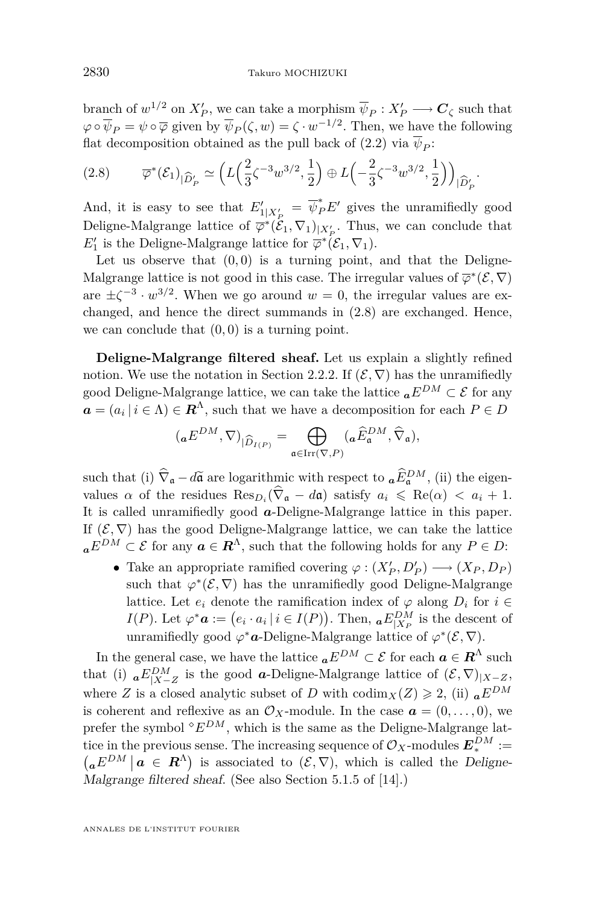branch of  $w^{1/2}$  on  $X'_{P}$ , we can take a morphism  $\overline{\psi}_{P}: X'_{P} \longrightarrow C_{\zeta}$  such that  $\varphi \circ \overline{\psi}_P = \psi \circ \overline{\varphi}$  given by  $\overline{\psi}_P(\zeta, w) = \zeta \cdot w^{-1/2}$ . Then, we have the following flat decomposition obtained as the pull back of [\(2.2\)](#page-7-0) via  $\overline{\psi}_P$ :

$$
(2.8) \qquad \overline{\varphi}^*(\mathcal{E}_1)_{|\widehat{D}'_P} \simeq \left( L\left(\frac{2}{3}\zeta^{-3}w^{3/2}, \frac{1}{2}\right) \oplus L\left(-\frac{2}{3}\zeta^{-3}w^{3/2}, \frac{1}{2}\right) \right)_{|\widehat{D}'_P}.
$$

And, it is easy to see that  $E'_{1|X'_{P}} = \overline{\psi}_{P}^{*}E'$  gives the unramifiedly good *P*eligne-Malgrange lattice of  $\overline{\varphi}^*(\mathcal{E}_1, \nabla_1)_{|X'_P}$ . Thus, we can conclude that  $E_1'$  is the Deligne-Malgrange lattice for  $\overline{\varphi}^*(\mathcal{E}_1, \nabla_1)$ .

Let us observe that  $(0,0)$  is a turning point, and that the Deligne-Malgrange lattice is not good in this case. The irregular values of  $\overline{\varphi}^*(\mathcal{E}, \nabla)$ are  $\pm \zeta^{-3} \cdot w^{3/2}$ . When we go around  $w = 0$ , the irregular values are exchanged, and hence the direct summands in (2.8) are exchanged. Hence, we can conclude that  $(0,0)$  is a turning point.

**Deligne-Malgrange filtered sheaf.** Let us explain a slightly refined notion. We use the notation in Section [2.2.2.](#page-8-0) If  $(\mathcal{E}, \nabla)$  has the unramifiedly good Deligne-Malgrange lattice, we can take the lattice  ${}_{a}E^{DM} \subset \mathcal{E}$  for any  $a = (a_i | i \in \Lambda) \in \mathbb{R}^{\Lambda}$ , such that we have a decomposition for each  $P \in D$ 

$$
({}_{\mathbf{a}}E^{DM},\nabla)_{|\widehat{D}_{I(P)}}=\bigoplus_{\mathfrak{a}\in\mathrm{Irr}(\nabla,P)}({}_{\mathbf{a}}\widehat{E}_{\mathfrak{a}}^{DM},\widehat{\nabla}_{\mathfrak{a}}),
$$

such that (i)  $\hat{V}_a - d\hat{a}$  are logarithmic with respect to  $a \hat{E}_a^{DM}$ , (ii) the eigen-<br>and the projection  $R_a - d\hat{a}$  and  $\hat{C}_a$  and  $\hat{C}_a$  and  $\hat{C}_a$  and  $\hat{C}_a$  and  $\hat{C}_a$  and  $\hat{C}_a$  and  $\hat{C}_a$  and  $\hat$ values  $\alpha$  of the residues  $\text{Res}_{D_i}(\hat{\nabla}_a - d\mathfrak{a})$  satisfy  $a_i \leq \text{Re}(\alpha) < a_i + 1$ . It is called unramifiedly good *a*-Deligne-Malgrange lattice in this paper. If  $(\mathcal{E}, \nabla)$  has the good Deligne-Malgrange lattice, we can take the lattice  $aE^{DM} \subset \mathcal{E}$  for any  $a \in \mathbb{R}^{\Lambda}$ , such that the following holds for any  $P \in D$ :

• Take an appropriate ramified covering  $\varphi : (X'_{P}, D'_{P}) \longrightarrow (X_{P}, D_{P})$ such that  $\varphi^*(\mathcal{E}, \nabla)$  has the unramifiedly good Deligne-Malgrange lattice. Let  $e_i$  denote the ramification index of  $\varphi$  along  $D_i$  for  $i \in$ *I*(*P*). Let  $\varphi^* \mathbf{a} := (e_i \cdot a_i \mid i \in I(P))$ . Then,  ${}_{\mathbf{a}}E_{|X_P}^{DM}$  is the descent of unramifiedly good  $\varphi^*$ *a*-Deligne-Malgrange lattice of  $\varphi^*(\mathcal{E}, \nabla)$ .

In the general case, we have the lattice  ${}_{a}E^{DM} \subset \mathcal{E}$  for each  $a \in \mathbb{R}^{\Lambda}$  such that (i)  ${}_{a}E_{|X-Z}^{DM}$  is the good  $a$ -Deligne-Malgrange lattice of  $(\mathcal{E}, \nabla)_{|X-Z}$ , where *Z* is a closed analytic subset of *D* with  $\text{codim}_X(Z) \geq 2$ , (ii)  ${}_{a}E^{DM}$ is coherent and reflexive as an  $\mathcal{O}_X$ -module. In the case  $\mathbf{a} = (0, \ldots, 0)$ , we prefer the symbol  $E^{DM}$ , which is the same as the Deligne-Malgrange lattice in the previous sense. The increasing sequence of  $\mathcal{O}_X$ -modules  $E_*^{DM} :=$  $\left(aE^{DM} \mid a \in \mathbb{R}^{\Lambda}\right)$  is associated to  $(\mathcal{E}, \nabla)$ , which is called the Deligne-Malgrange filtered sheaf. (See also Section 5.1.5 of [\[14\]](#page-18-0).)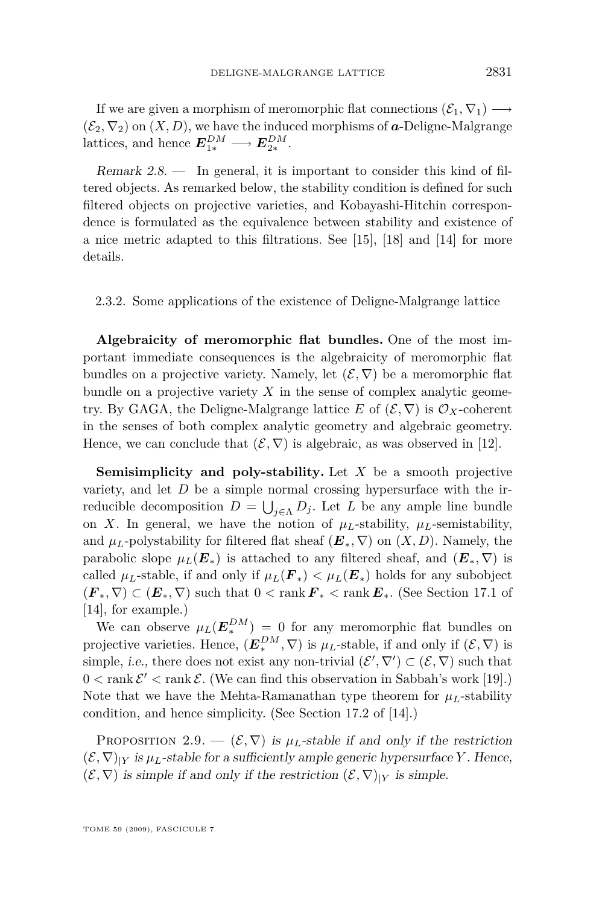<span id="page-13-0"></span>If we are given a morphism of meromorphic flat connections  $(\mathcal{E}_1, \nabla_1) \longrightarrow$  $(\mathcal{E}_2, \nabla_2)$  on  $(X, D)$ , we have the induced morphisms of **a**-Deligne-Malgrange lattices, and hence  $E_{1*}^{DM} \longrightarrow E_{2*}^{DM}$ .

Remark  $2.8$  — In general, it is important to consider this kind of filtered objects. As remarked below, the stability condition is defined for such filtered objects on projective varieties, and Kobayashi-Hitchin correspondence is formulated as the equivalence between stability and existence of a nice metric adapted to this filtrations. See [\[15\]](#page-18-0), [\[18\]](#page-19-0) and [\[14\]](#page-18-0) for more details.

2.3.2. Some applications of the existence of Deligne-Malgrange lattice

**Algebraicity of meromorphic flat bundles.** One of the most important immediate consequences is the algebraicity of meromorphic flat bundles on a projective variety. Namely, let  $(\mathcal{E}, \nabla)$  be a meromorphic flat bundle on a projective variety *X* in the sense of complex analytic geometry. By GAGA, the Deligne-Malgrange lattice E of  $(\mathcal{E}, \nabla)$  is  $\mathcal{O}_X$ -coherent in the senses of both complex analytic geometry and algebraic geometry. Hence, we can conclude that  $(\mathcal{E}, \nabla)$  is algebraic, as was observed in [\[12\]](#page-18-0).

**Semisimplicity and poly-stability.** Let *X* be a smooth projective variety, and let *D* be a simple normal crossing hypersurface with the irreducible decomposition  $D = \bigcup_{j \in \Lambda} D_j$ . Let *L* be any ample line bundle on *X*. In general, we have the notion of  $\mu_L$ -stability,  $\mu_L$ -semistability, and  $\mu_L$ -polystability for filtered flat sheaf  $(E_*, \nabla)$  on  $(X, D)$ . Namely, the parabolic slope  $\mu_L(E_*)$  is attached to any filtered sheaf, and  $(E_*, \nabla)$  is called  $\mu_L$ -stable, if and only if  $\mu_L(\mathbf{F}) < \mu_L(\mathbf{E})$  holds for any subobject  $(F_*, \nabla) \subset (E_*, \nabla)$  such that  $0 < \text{rank } F_* < \text{rank } E_*$ . (See Section 17.1 of [\[14\]](#page-18-0), for example.)

We can observe  $\mu_L(E_*^{DM}) = 0$  for any meromorphic flat bundles on projective varieties. Hence,  $(E_*^{DM}, \nabla)$  is  $\mu_L$ -stable, if and only if  $(\mathcal{E}, \nabla)$  is simple, *i.e.*, there does not exist any non-trivial  $(\mathcal{E}', \nabla') \subset (\mathcal{E}, \nabla)$  such that  $0 < \text{rank } \mathcal{E}' < \text{rank } \mathcal{E}$ . (We can find this observation in Sabbah's work [\[19\]](#page-19-0).) Note that we have the Mehta-Ramanathan type theorem for  $\mu_L$ -stability condition, and hence simplicity. (See Section 17.2 of [\[14\]](#page-18-0).)

PROPOSITION 2.9.  $-(\mathcal{E}, \nabla)$  is  $\mu_L$ -stable if and only if the restriction  $(\mathcal{E}, \nabla)_{|Y}$  is  $\mu_L$ -stable for a sufficiently ample generic hypersurface *Y*. Hence,  $(\mathcal{E}, \nabla)$  is simple if and only if the restriction  $(\mathcal{E}, \nabla)_{|Y}$  is simple.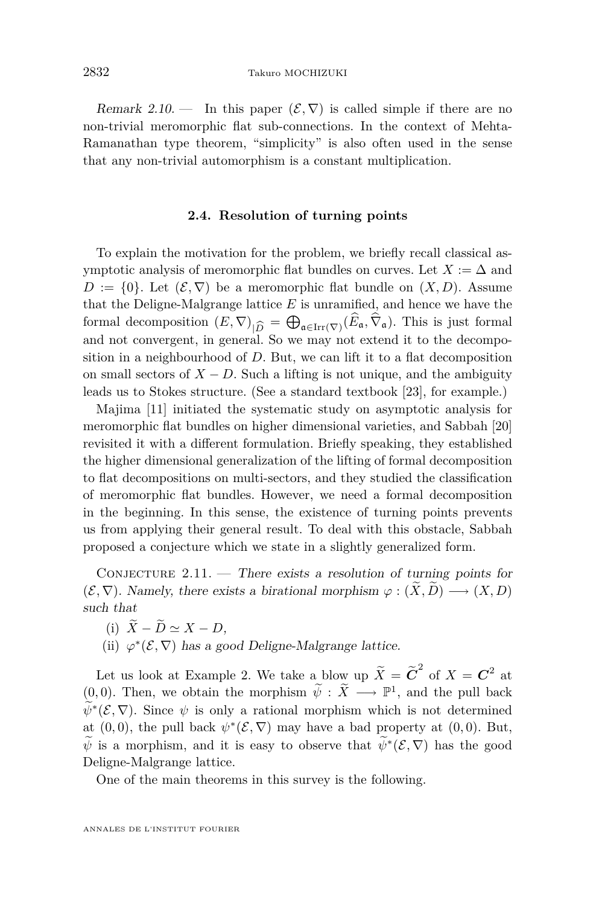<span id="page-14-0"></span>Remark 2.10. — In this paper  $(\mathcal{E}, \nabla)$  is called simple if there are no non-trivial meromorphic flat sub-connections. In the context of Mehta-Ramanathan type theorem, "simplicity" is also often used in the sense that any non-trivial automorphism is a constant multiplication.

#### **2.4. Resolution of turning points**

To explain the motivation for the problem, we briefly recall classical asymptotic analysis of meromorphic flat bundles on curves. Let  $X := \Delta$  and  $D := \{0\}$ . Let  $(\mathcal{E}, \nabla)$  be a meromorphic flat bundle on  $(X, D)$ . Assume that the Deligne-Malgrange lattice *E* is unramified, and hence we have the formal decomposition  $(E, \nabla)_{|\widehat{D}} = \bigoplus_{\mathfrak{a} \in \text{Irr}(\nabla)} (E_{\mathfrak{a}}, \nabla_{\mathfrak{a}})$ . This is just formal and not convergent, in general. So we may not extend it to the decompoand not convergent, in general. So we may not extend it to the decomposition in a neighbourhood of *D*. But, we can lift it to a flat decomposition on small sectors of  $X - D$ . Such a lifting is not unique, and the ambiguity leads us to Stokes structure. (See a standard textbook [\[23\]](#page-19-0), for example.)

Majima [\[11\]](#page-18-0) initiated the systematic study on asymptotic analysis for meromorphic flat bundles on higher dimensional varieties, and Sabbah [\[20\]](#page-19-0) revisited it with a different formulation. Briefly speaking, they established the higher dimensional generalization of the lifting of formal decomposition to flat decompositions on multi-sectors, and they studied the classification of meromorphic flat bundles. However, we need a formal decomposition in the beginning. In this sense, the existence of turning points prevents us from applying their general result. To deal with this obstacle, Sabbah proposed a conjecture which we state in a slightly generalized form.

CONJECTURE  $2.11.$  — There exists a resolution of turning points for  $(\mathcal{E}, \nabla)$ . Namely, there exists a birational morphism  $\varphi : (X, D) \longrightarrow (X, D)$ such that

- (i)  $\widetilde{X} \widetilde{D} \simeq X D$ .
- (ii)  $\varphi^*(\mathcal{E}, \nabla)$  has a good Deligne-Malgrange lattice.

Let us look at Example 2. We take a blow up  $\widetilde{X} = \widetilde{C}^2$  of  $X = C^2$  at  $(0,0)$ . Then, we obtain the morphism  $\widetilde{\psi}: \widetilde{X} \longrightarrow \mathbb{P}^1$ , and the pull back  $\psi^*(\mathcal{E}, \nabla)$ . Since  $\psi$  is only a rational morphism which is not determined at  $(0,0)$ , the pull back  $\psi^*(\mathcal{E}, \nabla)$  may have a bad property at  $(0,0)$ . But, *ψ* is a morphism, and it is easy to observe that  $\psi^*(\mathcal{E}, \nabla)$  has the good Deligne-Malgrange lattice.

One of the main theorems in this survey is the following.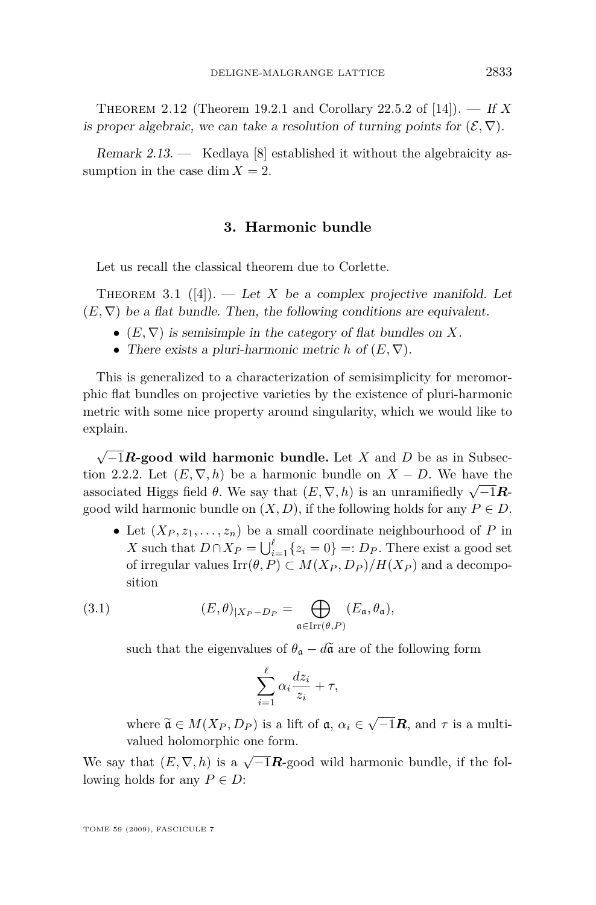<span id="page-15-0"></span>Theorem 2.12 (Theorem 19.2.1 and Corollary 22.5.2 of [\[14\]](#page-18-0)). — If *X* is proper algebraic, we can take a resolution of turning points for  $(\mathcal{E}, \nabla)$ .

Remark 2.13.  $\leftarrow$  Kedlaya [\[8\]](#page-18-0) established it without the algebraicity assumption in the case dim  $X = 2$ .

#### **3. Harmonic bundle**

Let us recall the classical theorem due to Corlette.

THEOREM 3.1  $([4])$  $([4])$  $([4])$ . — Let *X* be a complex projective manifold. Let  $(E, \nabla)$  be a flat bundle. Then, the following conditions are equivalent.

- $(E, \nabla)$  is semisimple in the category of flat bundles on X.
- *•* There exists a pluri-harmonic metric *h* of (*E, ∇*).

This is generalized to a characterization of semisimplicity for meromorphic flat bundles on projective varieties by the existence of pluri-harmonic metric with some nice property around singularity, which we would like to explain.

*√ −*1*R***-good wild harmonic bundle.** Let *X* and *D* be as in Subsec-tion [2.2.2.](#page-8-0) Let  $(E, \nabla, h)$  be a harmonic bundle on  $X - D$ . We have the associated Higgs field  $\theta$ . We say that  $(E, \nabla, h)$  is an unramifiedly  $\sqrt{-1}R$ good wild harmonic bundle on  $(X, D)$ , if the following holds for any  $P \in D$ .

• Let  $(X_P, z_1, \ldots, z_n)$  be a small coordinate neighbourhood of *P* in *X* such that  $D \cap X_P = \bigcup_{i=1}^{\ell} \{z_i = 0\} =: D_P$ . There exist a good set of irregular values  $\text{Irr}(\theta, P) \subset M(X_P, D_P)/H(X_P)$  and a decomposition

(3.1) 
$$
(E,\theta)_{|X_P-D_P} = \bigoplus_{\mathfrak{a} \in \operatorname{Irr}(\theta,P)} (E_{\mathfrak{a}}, \theta_{\mathfrak{a}}),
$$

such that the eigenvalues of  $\theta_{\alpha} - d\tilde{\alpha}$  are of the following form

$$
\sum_{i=1}^{\ell} \alpha_i \frac{dz_i}{z_i} + \tau,
$$

where  $\widetilde{\mathfrak{a}} \in M(X_P, D_P)$  is a lift of  $\mathfrak{a}, \alpha_i \in \sqrt{-1}\mathbb{R}$ , and  $\tau$  is a multivalued holomorphic one form.

We say that  $(E, \nabla, h)$  is a  $\sqrt{-1}R$ -good wild harmonic bundle, if the following holds for any  $P \in D$ :

TOME 59 (2009), FASCICULE 7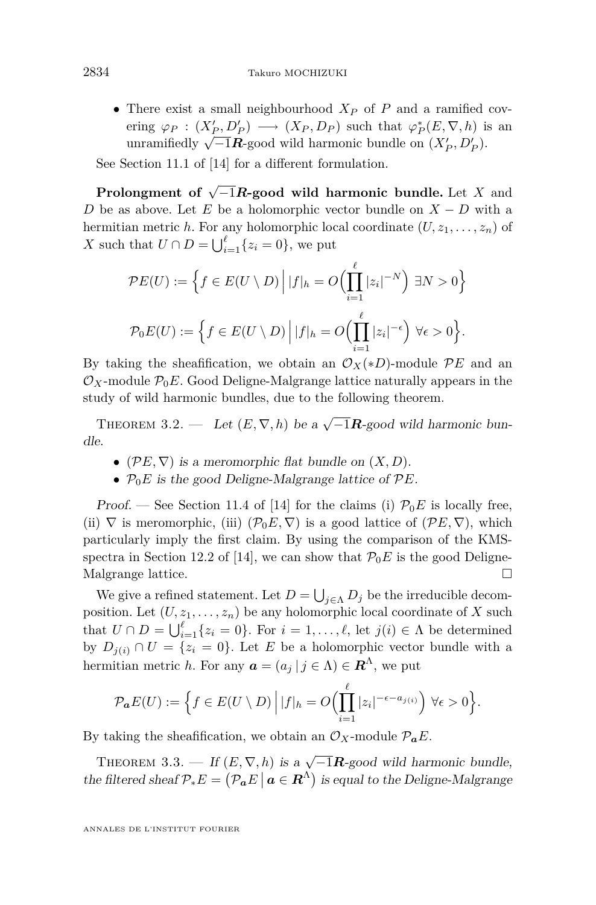<span id="page-16-0"></span>*•* There exist a small neighbourhood *X<sup>P</sup>* of *P* and a ramified covering  $\varphi_P : (X_P', D_P') \longrightarrow (X_P, D_P)$  such that  $\varphi_P^*(E, \nabla, h)$  is an  $\forall P$  ∴  $(XP, DP)$   $\rightarrow$   $(XP, DP)$  such that  $\forall P$ (*D*,  $V$ , *N*<sub>*P*</sub>).<br>
Unramifiedly  $\sqrt{-1}R$ -good wild harmonic bundle on  $(X'_{P}, D'_{P})$ .

See Section 11.1 of [\[14\]](#page-18-0) for a different formulation.

**Prolongment of** *<sup>√</sup> −*1*R***-good wild harmonic bundle.** Let *X* and *D* be as above. Let *E* be a holomorphic vector bundle on *X − D* with a hermitian metric *h*. For any holomorphic local coordinate  $(U, z_1, \ldots, z_n)$  of *X* such that  $U \cap D = \bigcup_{i=1}^{l} \{z_i = 0\}$ , we put

$$
\mathcal{P}E(U) := \left\{ f \in E(U \setminus D) \, \Big| \, |f|_h = O\Big(\prod_{i=1}^{\ell} |z_i|^{-N}\Big) \, \exists N > 0 \right\}
$$
\n
$$
\mathcal{P}_0 E(U) := \left\{ f \in E(U \setminus D) \, \Big| \, |f|_h = O\Big(\prod_{i=1}^{\ell} |z_i|^{-\epsilon}\Big) \, \forall \epsilon > 0 \right\}.
$$

By taking the sheafification, we obtain an  $\mathcal{O}_X(*D)$ -module  $\mathcal{P}E$  and an  $\mathcal{O}_X$ -module  $\mathcal{P}_0E$ . Good Deligne-Malgrange lattice naturally appears in the study of wild harmonic bundles, due to the following theorem.

THEOREM 3.2. — Let  $(E, \nabla, h)$  be a  $\sqrt{-1}R$ -good wild harmonic bundle.

- ( $\mathcal{P}E, \nabla$ ) is a meromorphic flat bundle on  $(X, D)$ .
- *• P*0*E* is the good Deligne-Malgrange lattice of *PE*.

Proof. — See Section 11.4 of [\[14\]](#page-18-0) for the claims (i)  $\mathcal{P}_0E$  is locally free, (ii)  $\nabla$  is meromorphic, (iii)  $(\mathcal{P}_0 E, \nabla)$  is a good lattice of  $(\mathcal{P} E, \nabla)$ , which particularly imply the first claim. By using the comparison of the KMS-spectra in Section 12.2 of [\[14\]](#page-18-0), we can show that  $\mathcal{P}_0E$  is the good Deligne-Malgrange lattice.

We give a refined statement. Let  $D = \bigcup_{j \in \Lambda} D_j$  be the irreducible decomposition. Let  $(U, z_1, \ldots, z_n)$  be any holomorphic local coordinate of X such that  $U \cap D = \bigcup_{i=1}^{\ell} \{z_i = 0\}$ . For  $i = 1, \ldots, \ell$ , let  $j(i) \in \Lambda$  be determined by  $D_{j(i)} \cap U = \{z_i = 0\}$ . Let *E* be a holomorphic vector bundle with a hermitian metric *h*. For any  $a = (a_j | j \in \Lambda) \in \mathbb{R}^{\Lambda}$ , we put

$$
\mathcal{P}_{\boldsymbol{a}}E(U) := \Big\{ f \in E(U \setminus D) \, \Big| \, |f|_h = O\Big(\prod_{i=1}^\ell |z_i|^{-\epsilon - a_{j(i)}}\Big) \, \forall \epsilon > 0 \Big\}.
$$

By taking the sheafification, we obtain an  $\mathcal{O}_X$ -module  $\mathcal{P}_a E$ .

THEOREM 3.3. — If  $(E, \nabla, h)$  is a  $\sqrt{-1}R$ -good wild harmonic bundle, the filtered sheaf  $\mathcal{P}_*E = (\mathcal{P}_a E \mid a \in \mathbb{R}^{\Lambda})$  is equal to the Deligne-Malgrange

ANNALES DE L'INSTITUT FOURIER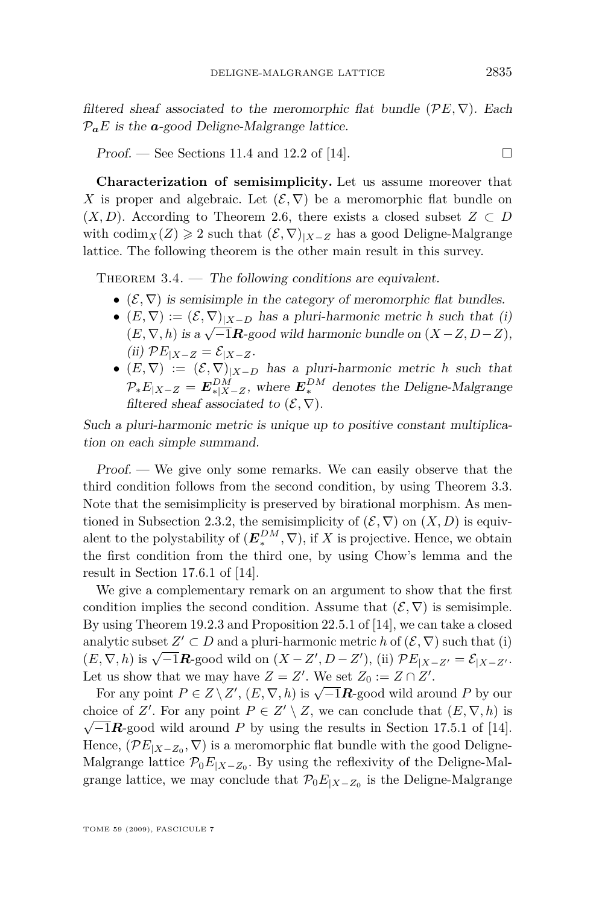<span id="page-17-0"></span>filtered sheaf associated to the meromorphic flat bundle  $(\mathcal{P}E, \nabla)$ . Each  $P_a E$  is the  $a$ -good Deligne-Malgrange lattice.

Proof. — See Sections 11.4 and 12.2 of [\[14\]](#page-18-0).

**Characterization of semisimplicity.** Let us assume moreover that *X* is proper and algebraic. Let  $(\mathcal{E}, \nabla)$  be a meromorphic flat bundle on  $(X, D)$ . According to Theorem [2.6,](#page-11-0) there exists a closed subset  $Z \subset D$ with codim<sub>*X*</sub></sub>(*Z*)  $\geq$  2 such that  $(\mathcal{E}, \nabla)_{|X-Z}$  has a good Deligne-Malgrange lattice. The following theorem is the other main result in this survey.

THEOREM  $3.4.$  — The following conditions are equivalent.

- $(\mathcal{E}, \nabla)$  is semisimple in the category of meromorphic flat bundles.
- *•*  $(E, ∇) := (E, ∇)|_{X D}$  has a pluri-harmonic metric *h* such that (i) (*E*,  $\nabla$ *, h*) is a  $\sqrt{-1}$ **R**-good wild harmonic bundle on (*X* − *Z*, *D* − *Z*),  $(iii)$   $\mathcal{P}E_{|X-Z} = \mathcal{E}_{|X-Z}.$
- $(E, \nabla) := (\mathcal{E}, \nabla)|_{X-D}$  has a pluri-harmonic metric *h* such that  $P_*E_{|X-Z} = E_{*|X-Z}^{DM}$ , where  $E_*^{DM}$  denotes the Deligne-Malgrange filtered sheaf associated to  $(\mathcal{E}, \nabla)$ .

Such a pluri-harmonic metric is unique up to positive constant multiplication on each simple summand.

Proof. — We give only some remarks. We can easily observe that the third condition follows from the second condition, by using Theorem [3.3.](#page-16-0) Note that the semisimplicity is preserved by birational morphism. As men-tioned in Subsection [2.3.2,](#page-13-0) the semisimplicity of  $(\mathcal{E}, \nabla)$  on  $(X, D)$  is equivalent to the polystability of  $(E_*^{DM}, \nabla)$ , if *X* is projective. Hence, we obtain the first condition from the third one, by using Chow's lemma and the result in Section 17.6.1 of [\[14\]](#page-18-0).

We give a complementary remark on an argument to show that the first condition implies the second condition. Assume that  $(\mathcal{E}, \nabla)$  is semisimple. By using Theorem 19.2.3 and Proposition 22.5.1 of [\[14\]](#page-18-0), we can take a closed analytic subset  $Z' \subset D$  and a pluri-harmonic metric *h* of  $(\mathcal{E}, \nabla)$  such that (i) analytic subset  $Z \subseteq D$  and a plut-harmonic metric *h* of  $(\mathcal{E}, \nabla, b)$  such that (1)<br> $(E, \nabla, h)$  is  $\sqrt{-1}R$ -good wild on  $(X - Z', D - Z')$ , (ii)  $\mathcal{P}E_{|X - Z'} = \mathcal{E}_{|X - Z'}$ . Let us show that we may have  $Z = Z'$ . We set  $Z_0 := Z \cap Z'$ .

For any point  $P \in Z \setminus Z'$ ,  $(E, \nabla, h)$  is  $\sqrt{-1}R$ -good wild around *P* by our choice of *Z'*. For any point  $P \in Z' \setminus Z$ , we can conclude that  $(E, \nabla, h)$  is  $\sqrt{-1}R$ -good wild around *P* by using the results in Section 17.5.1 of [\[14\]](#page-18-0). Hence,  $(\mathcal{P}E_{|X-Z_0}, \nabla)$  is a meromorphic flat bundle with the good Deligne-Malgrange lattice  $\mathcal{P}_0E_{|X-Z_0}$ . By using the reflexivity of the Deligne-Malgrange lattice, we may conclude that  $\mathcal{P}_0E_{|X-Z_0}$  is the Deligne-Malgrange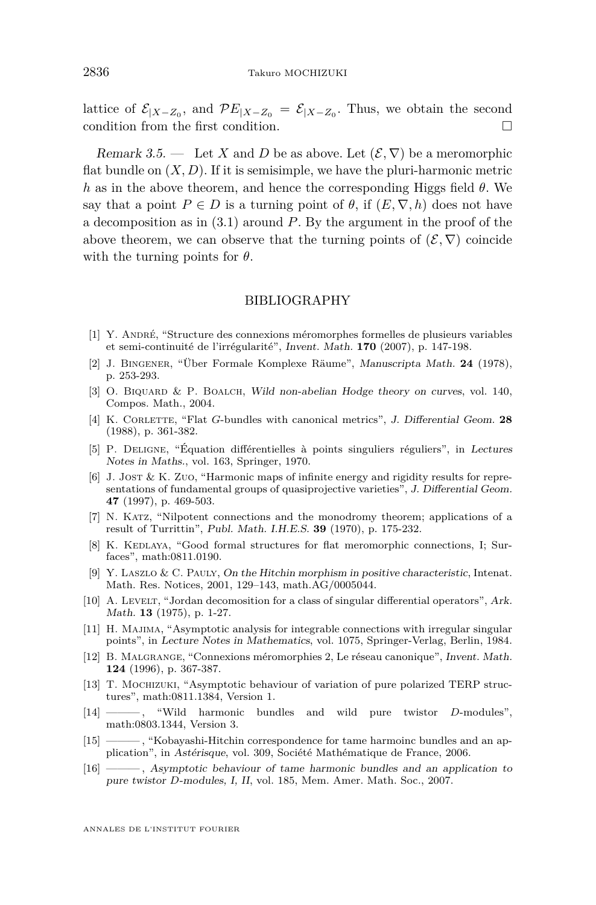<span id="page-18-0"></span>lattice of  $\mathcal{E}_{|X-Z_0}$ , and  $\mathcal{P}E_{|X-Z_0} = \mathcal{E}_{|X-Z_0}$ . Thus, we obtain the second condition from the first condition.

Remark 3.5. — Let *X* and *D* be as above. Let  $(\mathcal{E}, \nabla)$  be a meromorphic flat bundle on  $(X, D)$ . If it is semisimple, we have the pluri-harmonic metric *h* as in the above theorem, and hence the corresponding Higgs field *θ*. We say that a point  $P \in D$  is a turning point of  $\theta$ , if  $(E, \nabla, h)$  does not have a decomposition as in [\(3.1\)](#page-15-0) around *P*. By the argument in the proof of the above theorem, we can observe that the turning points of  $(\mathcal{E}, \nabla)$  coincide with the turning points for *θ*.

#### BIBLIOGRAPHY

- [1] Y. André, "Structure des connexions méromorphes formelles de plusieurs variables et semi-continuité de l'irrégularité", Invent. Math. **170** (2007), p. 147-198.
- [2] J. Bingener, "Über Formale Komplexe Räume", Manuscripta Math. **24** (1978), p. 253-293.
- [3] O. BIQUARD & P. BOALCH, Wild non-abelian Hodge theory on curves, vol. 140, Compos. Math., 2004.
- [4] K. Corlette, "Flat *G*-bundles with canonical metrics", J. Differential Geom. **28** (1988), p. 361-382.
- [5] P. Deligne, "Équation différentielles à points singuliers réguliers", in Lectures Notes in Maths., vol. 163, Springer, 1970.
- [6] J. JOST & K. ZUO, "Harmonic maps of infinite energy and rigidity results for representations of fundamental groups of quasiprojective varieties", J. Differential Geom. **47** (1997), p. 469-503.
- [7] N. Katz, "Nilpotent connections and the monodromy theorem; applications of a result of Turrittin", Publ. Math. I.H.E.S. **39** (1970), p. 175-232.
- [8] K. KEDLAYA, "Good formal structures for flat meromorphic connections, I; Surfaces", math:0811.0190.
- [9] Y. Laszlo & C. Pauly, On the Hitchin morphism in positive characteristic, Intenat. Math. Res. Notices, 2001, 129–143, math.AG/0005044.
- [10] A. LEVELT, "Jordan decomosition for a class of singular differential operators", Ark. Math. **13** (1975), p. 1-27.
- [11] H. MAJIMA, "Asymptotic analysis for integrable connections with irregular singular points", in Lecture Notes in Mathematics, vol. 1075, Springer-Verlag, Berlin, 1984.
- [12] B. Malgrange, "Connexions méromorphies 2, Le réseau canonique", Invent. Math. **124** (1996), p. 367-387.
- [13] T. Mochizuki, "Asymptotic behaviour of variation of pure polarized TERP structures", math:0811.1384, Version 1.
- [14] ——— , "Wild harmonic bundles and wild pure twistor *D*-modules", math:0803.1344, Version 3.
- [15] ——— , "Kobayashi-Hitchin correspondence for tame harmoinc bundles and an application", in Astérisque, vol. 309, Société Mathématique de France, 2006.
- [16] ——— , Asymptotic behaviour of tame harmonic bundles and an application to pure twistor *D*-modules, I, II, vol. 185, Mem. Amer. Math. Soc., 2007.